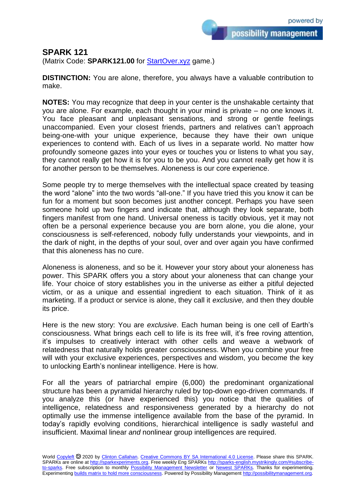possibility management

**SPARK 121**

(Matrix Code: **SPARK121.00** for **StartOver.xyz** game.)

**DISTINCTION:** You are alone, therefore, you always have a valuable contribution to make.

**NOTES:** You may recognize that deep in your center is the unshakable certainty that you are alone. For example, each thought in your mind is private – no one knows it. You face pleasant and unpleasant sensations, and strong or gentle feelings unaccompanied. Even your closest friends, partners and relatives can't approach being-one-with your unique experience, because they have their own unique experiences to contend with. Each of us lives in a separate world. No matter how profoundly someone gazes into your eyes or touches you or listens to what you say, they cannot really get how it is for you to be you. And you cannot really get how it is for another person to be themselves. Aloneness is our core experience.

Some people try to merge themselves with the intellectual space created by teasing the word "alone" into the two words "all-one." If you have tried this you know it can be fun for a moment but soon becomes just another concept. Perhaps you have seen someone hold up two fingers and indicate that, although they look separate, both fingers manifest from one hand. Universal oneness is tacitly obvious, yet it may not often be a personal experience because you are born alone, you die alone, your consciousness is self-referenced, nobody fully understands your viewpoints, and in the dark of night, in the depths of your soul, over and over again you have confirmed that this aloneness has no cure.

Aloneness is aloneness, and so be it. However your story about your aloneness has power. This SPARK offers you a story about your aloneness that can change your life. Your choice of story establishes you in the universe as either a pitiful dejected victim, or as a unique and essential ingredient to each situation. Think of it as marketing. If a product or service is alone, they call it *exclusive,* and then they double its price.

Here is the new story: You are *exclusive*. Each human being is one cell of Earth's consciousness. What brings each cell to life is its free will, it's free roving attention, it's impulses to creatively interact with other cells and weave a webwork of relatedness that naturally holds greater consciousness. When you combine your free will with your exclusive experiences, perspectives and wisdom, you become the key to unlocking Earth's nonlinear intelligence. Here is how.

For all the years of patriarchal empire (6,000) the predominant organizational structure has been a pyramidal hierarchy ruled by top-down ego-driven commands. If you analyze this (or have experienced this) you notice that the qualities of intelligence, relatedness and responsiveness generated by a hierarchy do not optimally use the immense intelligence available from the base of the pyramid. In today's rapidly evolving conditions, hierarchical intelligence is sadly wasteful and insufficient. Maximal linear *and* nonlinear group intelligences are required.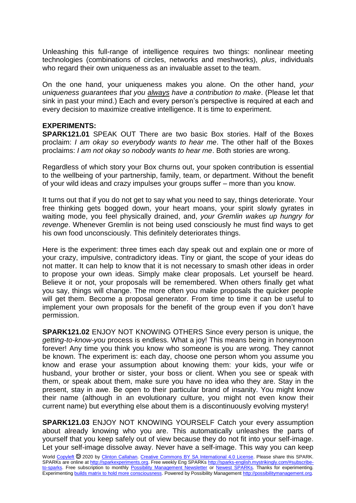Unleashing this full-range of intelligence requires two things: nonlinear meeting technologies (combinations of circles, networks and meshworks), *plus*, individuals who regard their own uniqueness as an invaluable asset to the team.

On the one hand, your uniqueness makes you alone. On the other hand, *your uniqueness guarantees that you always have a contribution to make*. (Please let that sink in past your mind.) Each and every person's perspective is required at each and every decision to maximize creative intelligence. It is time to experiment.

## **EXPERIMENTS:**

**SPARK121.01** SPEAK OUT There are two basic Box stories. Half of the Boxes proclaim: *I am okay so everybody wants to hear me*. The other half of the Boxes proclaims: *I am not okay so nobody wants to hear me*. Both stories are wrong.

Regardless of which story your Box churns out, your spoken contribution is essential to the wellbeing of your partnership, family, team, or department. Without the benefit of your wild ideas and crazy impulses your groups suffer – more than you know.

It turns out that if you do not get to say what you need to say, things deteriorate. Your free thinking gets bogged down, your heart moans, your spirit slowly gyrates in waiting mode, you feel physically drained, and, *your Gremlin wakes up hungry for revenge*. Whenever Gremlin is not being used consciously he must find ways to get his own food unconsciously. This definitely deteriorates things.

Here is the experiment: three times each day speak out and explain one or more of your crazy, impulsive, contradictory ideas. Tiny or giant, the scope of your ideas do not matter. It can help to know that it is not necessary to smash other ideas in order to propose your own ideas. Simply make clear proposals. Let yourself be heard. Believe it or not, your proposals will be remembered. When others finally get what you say, things will change. The more often you make proposals the quicker people will get them. Become a proposal generator. From time to time it can be useful to implement your own proposals for the benefit of the group even if you don't have permission.

**SPARK121.02** ENJOY NOT KNOWING OTHERS Since every person is unique, the *getting-to-know-you* process is endless. What a joy! This means being in honeymoon forever! Any time you think you know who someone is you are wrong. They cannot be known. The experiment is: each day, choose one person whom you assume you know and erase your assumption about knowing them: your kids, your wife or husband, your brother or sister, your boss or client. When you see or speak with them, or speak about them, make sure you have no idea who they are. Stay in the present, stay in awe. Be open to their particular brand of insanity. You might know their name (although in an evolutionary culture, you might not even know their current name) but everything else about them is a discontinuously evolving mystery!

**SPARK121.03** ENJOY NOT KNOWING YOURSELF Catch your every assumption about already knowing who you are. This automatically unleashes the parts of yourself that you keep safely out of view because they do not fit into your self-image. Let your self-image dissolve away. Never have a self-image. This way you can keep